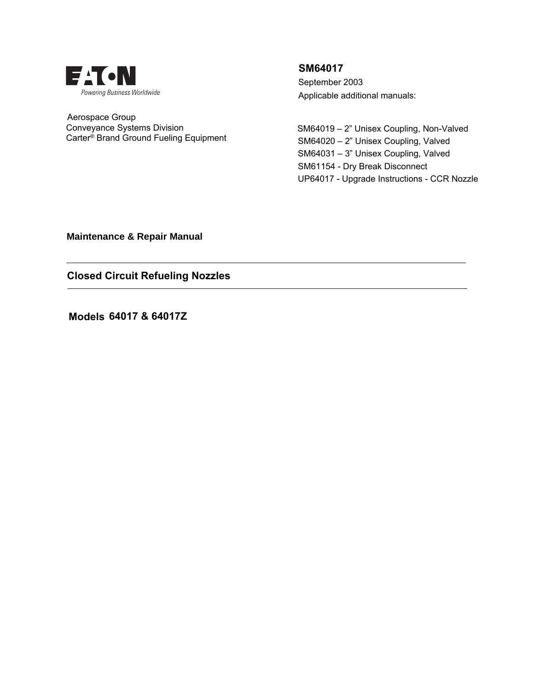

 Aerospace Group Conveyance Systems Division Carter® Brand Ground Fueling Equipment

**SM64017** September 2003 Applicable additional manuals:

SM64019 – 2" Unisex Coupling, Non-Valved SM64020 – 2" Unisex Coupling, Valved SM64031 – 3" Unisex Coupling, Valved SM61154 - Dry Break Disconnect UP64017 - Upgrade Instructions - CCR Nozzle

**Maintenance & Repair Manual** 

**Closed Circuit Refueling Nozzles**

**Models 64017 & 64017Z**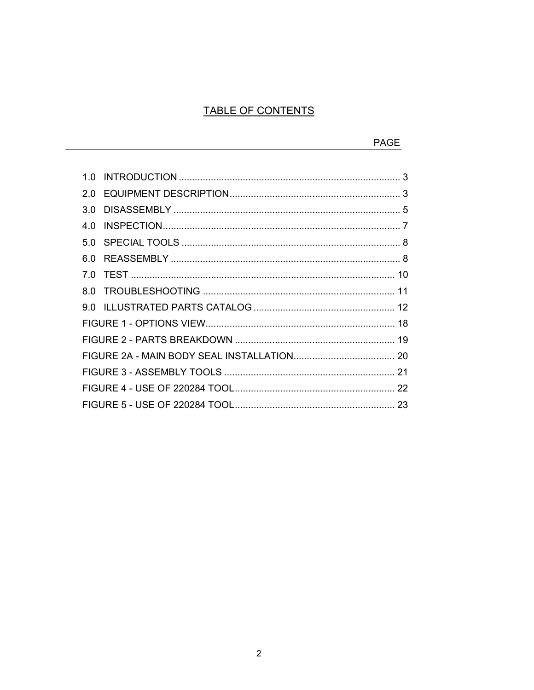# TABLE OF CONTENTS

|     | PAGF |
|-----|------|
|     |      |
| 1 N |      |
| 2 O |      |
| 3 O |      |
| 4 Q |      |
| 50  |      |
| 60  |      |
| 7 N |      |
| 8 O |      |
| 9 N |      |
|     |      |
|     |      |
|     |      |
|     |      |
|     |      |
|     |      |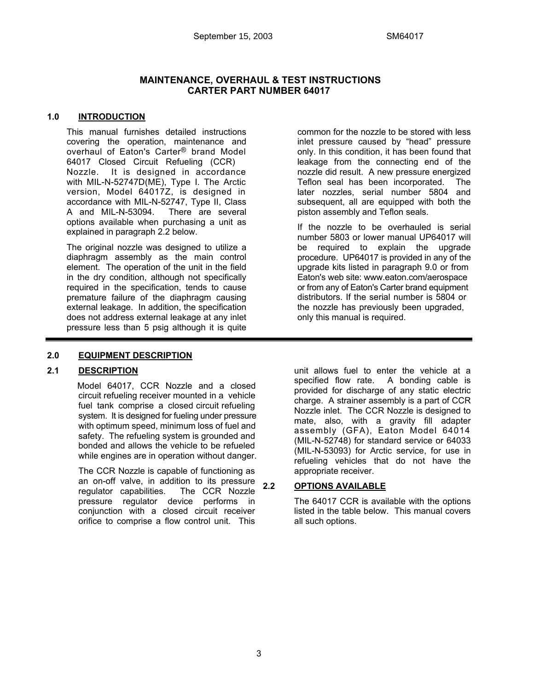# **MAINTENANCE, OVERHAUL & TEST INSTRUCTIONS CARTER PART NUMBER 64017**

#### **1.0 INTRODUCTION**

 This manual furnishes detailed instructions covering the operation, maintenance and overhaul of Eaton's Carter® brand Model 64017 Closed Circuit Refueling (CCR) Nozzle. It is designed in accordance with MIL-N-52747D(ME), Type I. The Arctic version, Model 64017Z, is designed in accordance with MIL-N-52747, Type II, Class A and MIL-N-53094. There are several options available when purchasing a unit as explained in paragraph 2.2 below.

 The original nozzle was designed to utilize a diaphragm assembly as the main control element. The operation of the unit in the field in the dry condition, although not specifically required in the specification, tends to cause premature failure of the diaphragm causing external leakage. In addition, the specification does not address external leakage at any inlet pressure less than 5 psig although it is quite common for the nozzle to be stored with less inlet pressure caused by "head" pressure only. In this condition, it has been found that leakage from the connecting end of the nozzle did result. A new pressure energized Teflon seal has been incorporated. The later nozzles, serial number 5804 and subsequent, all are equipped with both the piston assembly and Teflon seals.

 If the nozzle to be overhauled is serial number 5803 or lower manual UP64017 will be required to explain the upgrade procedure. UP64017 is provided in any of the upgrade kits listed in paragraph 9.0 or from Eaton's web site: www.eaton.com/aerospace or from any of Eaton's Carter brand equipment distributors. If the serial number is 5804 or the nozzle has previously been upgraded, only this manual is required.

# **2.0 EQUIPMENT DESCRIPTION**

# **2.1 DESCRIPTION**

 Model 64017, CCR Nozzle and a closed circuit refueling receiver mounted in a vehicle fuel tank comprise a closed circuit refueling system. It is designed for fueling under pressure with optimum speed, minimum loss of fuel and safety. The refueling system is grounded and bonded and allows the vehicle to be refueled while engines are in operation without danger.

The CCR Nozzle is capable of functioning as an on-off valve, in addition to its pressure regulator capabilities. The CCR Nozzle pressure regulator device performs in conjunction with a closed circuit receiver orifice to comprise a flow control unit. This

unit allows fuel to enter the vehicle at a specified flow rate. A bonding cable is provided for discharge of any static electric charge. A strainer assembly is a part of CCR Nozzle inlet. The CCR Nozzle is designed to mate, also, with a gravity fill adapter assembly (GFA), Eaton Model 64014 (MIL-N-52748) for standard service or 64033 (MIL-N-53093) for Arctic service, for use in refueling vehicles that do not have the appropriate receiver.

# **2.2 OPTIONS AVAILABLE**

 The 64017 CCR is available with the options listed in the table below. This manual covers all such options.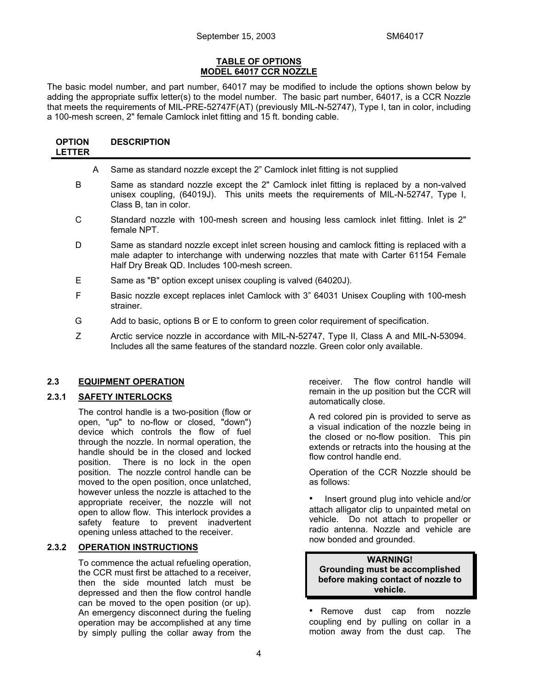#### **TABLE OF OPTIONS MODEL 64017 CCR NOZZLE**

The basic model number, and part number, 64017 may be modified to include the options shown below by adding the appropriate suffix letter(s) to the model number. The basic part number, 64017, is a CCR Nozzle that meets the requirements of MIL-PRE-52747F(AT) (previously MIL-N-52747), Type I, tan in color, including a 100-mesh screen, 2" female Camlock inlet fitting and 15 ft. bonding cable.

| <b>OPTION</b> | <b>DESCRIPTION</b> |
|---------------|--------------------|
| <b>LETTER</b> |                    |

|   | A | Same as standard nozzle except the 2" Camlock inlet fitting is not supplied                                                                                                                                                         |
|---|---|-------------------------------------------------------------------------------------------------------------------------------------------------------------------------------------------------------------------------------------|
| B |   | Same as standard nozzle except the 2" Camlock inlet fitting is replaced by a non-valved<br>unisex coupling, (64019J). This units meets the requirements of MIL-N-52747, Type I,<br>Class B, tan in color.                           |
| C |   | Standard nozzle with 100-mesh screen and housing less camlock inlet fitting. Inlet is 2"<br>female NPT.                                                                                                                             |
| D |   | Same as standard nozzle except inlet screen housing and camlock fitting is replaced with a<br>male adapter to interchange with underwing nozzles that mate with Carter 61154 Female<br>Half Dry Break QD. Includes 100-mesh screen. |

- E Same as "B" option except unisex coupling is valved (64020J).
- F Basic nozzle except replaces inlet Camlock with 3" 64031 Unisex Coupling with 100-mesh strainer.
- G Add to basic, options B or E to conform to green color requirement of specification.
- Z Arctic service nozzle in accordance with MIL-N-52747, Type II, Class A and MIL-N-53094. Includes all the same features of the standard nozzle. Green color only available.

# **2.3 EQUIPMENT OPERATION**

# **2.3.1 SAFETY INTERLOCKS**

 The control handle is a two-position (flow or open, "up" to no-flow or closed, "down") device which controls the flow of fuel through the nozzle. In normal operation, the handle should be in the closed and locked position. There is no lock in the open position. The nozzle control handle can be moved to the open position, once unlatched, however unless the nozzle is attached to the appropriate receiver, the nozzle will not open to allow flow. This interlock provides a safety feature to prevent inadvertent opening unless attached to the receiver.

#### **2.3.2 OPERATION INSTRUCTIONS**

 To commence the actual refueling operation, the CCR must first be attached to a receiver, then the side mounted latch must be depressed and then the flow control handle can be moved to the open position (or up). An emergency disconnect during the fueling operation may be accomplished at any time by simply pulling the collar away from the

receiver. The flow control handle will remain in the up position but the CCR will automatically close.

 A red colored pin is provided to serve as a visual indication of the nozzle being in the closed or no-flow position. This pin extends or retracts into the housing at the flow control handle end.

 Operation of the CCR Nozzle should be as follows:

 • Insert ground plug into vehicle and/or attach alligator clip to unpainted metal on vehicle. Do not attach to propeller or radio antenna. Nozzle and vehicle are now bonded and grounded.

#### **WARNING! Grounding must be accomplished before making contact of nozzle to vehicle.**

• Remove dust cap from nozzle coupling end by pulling on collar in a motion away from the dust cap. The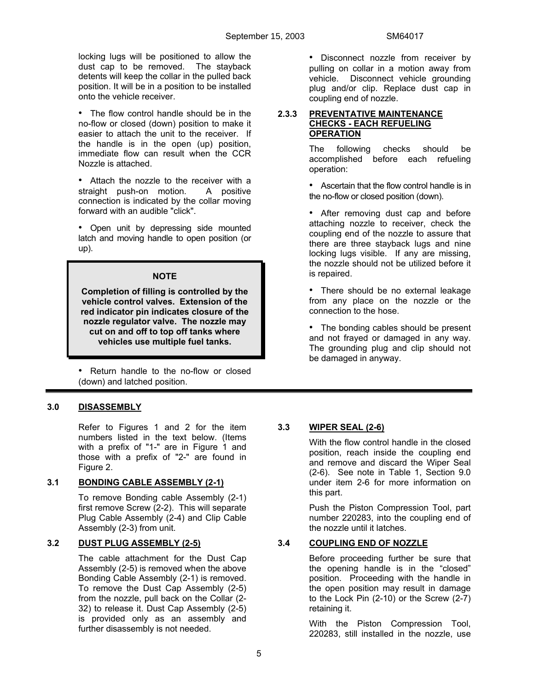locking lugs will be positioned to allow the dust cap to be removed. The stayback detents will keep the collar in the pulled back position. It will be in a position to be installed onto the vehicle receiver.

• The flow control handle should be in the no-flow or closed (down) position to make it easier to attach the unit to the receiver. If the handle is in the open (up) position, immediate flow can result when the CCR Nozzle is attached.

• Attach the nozzle to the receiver with a straight push-on motion. A positive connection is indicated by the collar moving forward with an audible "click".

• Open unit by depressing side mounted latch and moving handle to open position (or up).

#### **NOTE**

**Completion of filling is controlled by the vehicle control valves. Extension of the red indicator pin indicates closure of the nozzle regulator valve. The nozzle may cut on and off to top off tanks where vehicles use multiple fuel tanks.**

• Return handle to the no-flow or closed (down) and latched position.

# **3.0 DISASSEMBLY**

 Refer to Figures 1 and 2 for the item numbers listed in the text below. (Items with a prefix of "1-" are in Figure 1 and those with a prefix of "2-" are found in Figure 2.

# **3.1 BONDING CABLE ASSEMBLY (2-1)**

 To remove Bonding cable Assembly (2-1) first remove Screw (2-2). This will separate Plug Cable Assembly (2-4) and Clip Cable Assembly (2-3) from unit.

# **3.2 DUST PLUG ASSEMBLY (2-5)**

 The cable attachment for the Dust Cap Assembly (2-5) is removed when the above Bonding Cable Assembly (2-1) is removed. To remove the Dust Cap Assembly (2-5) from the nozzle, pull back on the Collar (2- 32) to release it. Dust Cap Assembly (2-5) is provided only as an assembly and further disassembly is not needed.

• Disconnect nozzle from receiver by pulling on collar in a motion away from vehicle. Disconnect vehicle grounding plug and/or clip. Replace dust cap in coupling end of nozzle.

#### **2.3.3 PREVENTATIVE MAINTENANCE CHECKS - EACH REFUELING OPERATION**

 The following checks should be accomplished before each refueling operation:

• Ascertain that the flow control handle is in the no-flow or closed position (down).

• After removing dust cap and before attaching nozzle to receiver, check the coupling end of the nozzle to assure that there are three stayback lugs and nine locking lugs visible. If any are missing, the nozzle should not be utilized before it is repaired.

• There should be no external leakage from any place on the nozzle or the connection to the hose.

• The bonding cables should be present and not frayed or damaged in any way. The grounding plug and clip should not be damaged in anyway.

# **3.3 WIPER SEAL (2-6)**

 With the flow control handle in the closed position, reach inside the coupling end and remove and discard the Wiper Seal (2-6). See note in Table 1, Section 9.0 under item 2-6 for more information on this part.

 Push the Piston Compression Tool, part number 220283, into the coupling end of the nozzle until it latches.

# **3.4 COUPLING END OF NOZZLE**

 Before proceeding further be sure that the opening handle is in the "closed" position. Proceeding with the handle in the open position may result in damage to the Lock Pin (2-10) or the Screw (2-7) retaining it.

 With the Piston Compression Tool, 220283, still installed in the nozzle, use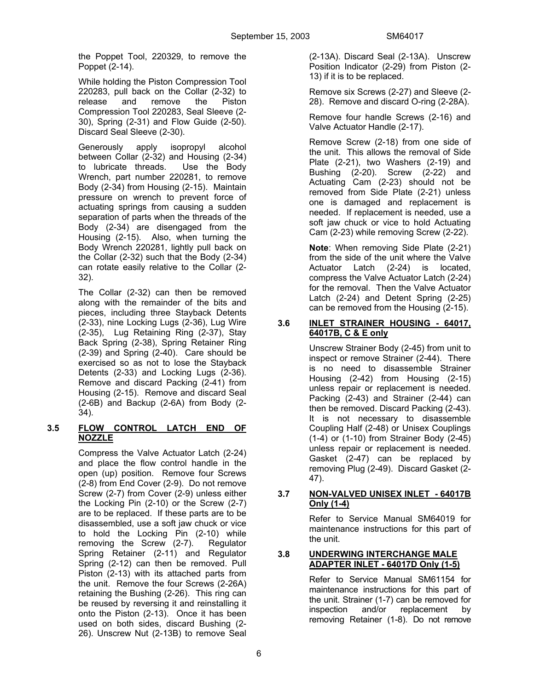the Poppet Tool, 220329, to remove the Poppet (2-14).

 While holding the Piston Compression Tool 220283, pull back on the Collar (2-32) to release and remove the Piston Compression Tool 220283, Seal Sleeve (2- 30), Spring (2-31) and Flow Guide (2-50). Discard Seal Sleeve (2-30).

 Generously apply isopropyl alcohol between Collar (2-32) and Housing (2-34) to lubricate threads. Use the Body Wrench, part number 220281, to remove Body (2-34) from Housing (2-15). Maintain pressure on wrench to prevent force of actuating springs from causing a sudden separation of parts when the threads of the Body (2-34) are disengaged from the Housing (2-15). Also, when turning the Body Wrench 220281, lightly pull back on the Collar (2-32) such that the Body (2-34) can rotate easily relative to the Collar (2- 32).

 The Collar (2-32) can then be removed along with the remainder of the bits and pieces, including three Stayback Detents (2-33), nine Locking Lugs (2-36), Lug Wire (2-35), Lug Retaining Ring (2-37), Stay Back Spring (2-38), Spring Retainer Ring (2-39) and Spring (2-40). Care should be exercised so as not to lose the Stayback Detents (2-33) and Locking Lugs (2-36). Remove and discard Packing (2-41) from Housing (2-15). Remove and discard Seal (2-6B) and Backup (2-6A) from Body (2- 34).

# **3.5 FLOW CONTROL LATCH END OF NOZZLE**

 Compress the Valve Actuator Latch (2-24) and place the flow control handle in the open (up) position. Remove four Screws (2-8) from End Cover (2-9). Do not remove Screw (2-7) from Cover (2-9) unless either the Locking Pin (2-10) or the Screw (2-7) are to be replaced. If these parts are to be disassembled, use a soft jaw chuck or vice to hold the Locking Pin (2-10) while removing the Screw (2-7). Regulator Spring Retainer (2-11) and Regulator Spring (2-12) can then be removed. Pull Piston (2-13) with its attached parts from the unit. Remove the four Screws (2-26A) retaining the Bushing (2-26). This ring can be reused by reversing it and reinstalling it onto the Piston (2-13). Once it has been used on both sides, discard Bushing (2- 26). Unscrew Nut (2-13B) to remove Seal (2-13A). Discard Seal (2-13A). Unscrew Position Indicator (2-29) from Piston (2- 13) if it is to be replaced.

 Remove six Screws (2-27) and Sleeve (2- 28). Remove and discard O-ring (2-28A).

 Remove four handle Screws (2-16) and Valve Actuator Handle (2-17).

 Remove Screw (2-18) from one side of the unit. This allows the removal of Side Plate (2-21), two Washers (2-19) and Bushing (2-20). Screw (2-22) and Actuating Cam (2-23) should not be removed from Side Plate (2-21) unless one is damaged and replacement is needed. If replacement is needed, use a soft jaw chuck or vice to hold Actuating Cam (2-23) while removing Screw (2-22).

 **Note**: When removing Side Plate (2-21) from the side of the unit where the Valve Actuator Latch (2-24) is located, compress the Valve Actuator Latch (2-24) for the removal. Then the Valve Actuator Latch (2-24) and Detent Spring (2-25) can be removed from the Housing (2-15).

### **3.6 INLET STRAINER HOUSING - 64017, 64017B, C & E only**

 Unscrew Strainer Body (2-45) from unit to inspect or remove Strainer (2-44). There is no need to disassemble Strainer Housing (2-42) from Housing (2-15) unless repair or replacement is needed. Packing (2-43) and Strainer (2-44) can then be removed. Discard Packing (2-43). It is not necessary to disassemble Coupling Half (2-48) or Unisex Couplings (1-4) or (1-10) from Strainer Body (2-45) unless repair or replacement is needed. Gasket (2-47) can be replaced by removing Plug (2-49). Discard Gasket (2- 47).

# **3.7 NON-VALVED UNISEX INLET - 64017B Only (1-4)**

 Refer to Service Manual SM64019 for maintenance instructions for this part of the unit.

# **3.8 UNDERWING INTERCHANGE MALE ADAPTER INLET - 64017D Only (1-5)**

 Refer to Service Manual SM61154 for maintenance instructions for this part of the unit. Strainer (1-7) can be removed for inspection and/or replacement by removing Retainer (1-8). Do not remove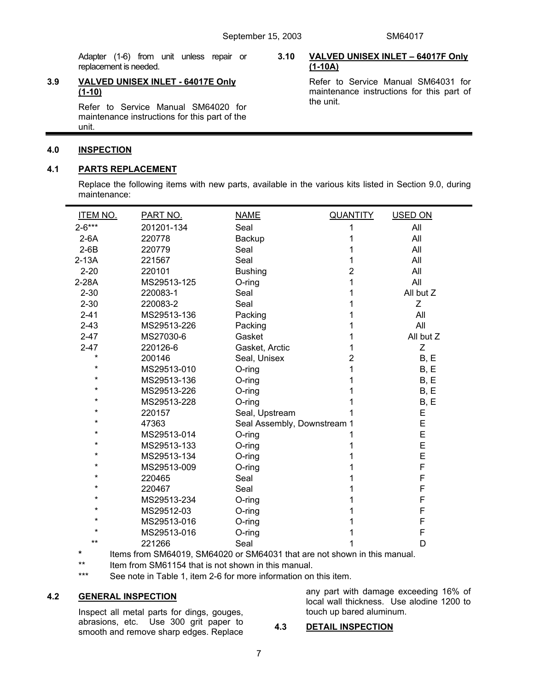Adapter (1-6) from unit unless repair or replacement is needed.

#### **3.9 VALVED UNISEX INLET - 64017E Only (1-10)**

 Refer to Service Manual SM64020 for maintenance instructions for this part of the unit.

#### **4.0 INSPECTION**

#### **4.1 PARTS REPLACEMENT**

#### **3.10 VALVED UNISEX INLET – 64017F Only (1-10A)**

 Refer to Service Manual SM64031 for maintenance instructions for this part of the unit.

 Replace the following items with new parts, available in the various kits listed in Section 9.0, during maintenance:

| ITEM NO.   | PART NO.    | <b>NAME</b>                 | <b>QUANTITY</b> | USED ON   |
|------------|-------------|-----------------------------|-----------------|-----------|
| $2 - 6***$ | 201201-134  | Seal                        | 1               | All       |
| $2-6A$     | 220778      | Backup                      |                 | All       |
| $2-6B$     | 220779      | Seal                        |                 | All       |
| $2-13A$    | 221567      | Seal                        |                 | All       |
| $2 - 20$   | 220101      | <b>Bushing</b>              | 2               | All       |
| 2-28A      | MS29513-125 | O-ring                      |                 | All       |
| $2 - 30$   | 220083-1    | Seal                        |                 | All but Z |
| $2 - 30$   | 220083-2    | Seal                        |                 | Ζ         |
| $2 - 41$   | MS29513-136 | Packing                     |                 | All       |
| $2 - 43$   | MS29513-226 | Packing                     |                 | All       |
| $2 - 47$   | MS27030-6   | Gasket                      |                 | All but Z |
| $2 - 47$   | 220126-6    | Gasket, Arctic              |                 | Z         |
| $\star$    | 200146      | Seal, Unisex                | 2               | B, E      |
| $\star$    | MS29513-010 | $O$ -ring                   |                 | B, E      |
| $\star$    | MS29513-136 | $O$ -ring                   |                 | B, E      |
| $\star$    | MS29513-226 | O-ring                      |                 | B, E      |
| $\star$    | MS29513-228 | $O$ -ring                   |                 | B, E      |
|            | 220157      | Seal, Upstream              |                 | E         |
| $\star$    | 47363       | Seal Assembly, Downstream 1 |                 | E         |
| $\star$    | MS29513-014 | $O$ -ring                   |                 | E         |
| $\star$    | MS29513-133 | $O$ -ring                   |                 | E         |
| *          | MS29513-134 | O-ring                      |                 | E         |
| $\star$    | MS29513-009 | $O$ -ring                   |                 | F         |
| *          | 220465      | Seal                        |                 | F         |
| $\star$    | 220467      | Seal                        |                 | F         |
| *          | MS29513-234 | O-ring                      |                 | F         |
| $\star$    | MS29512-03  | O-ring                      |                 | F         |
| *          | MS29513-016 | $O$ -ring                   |                 | F         |
| $\star$    | MS29513-016 | O-ring                      |                 | F         |
| $***$      | 221266      | Seal                        |                 | D         |

 **\*** Items from SM64019, SM64020 or SM64031 that are not shown in this manual.

\*\* Item from SM61154 that is not shown in this manual.<br>\*\*\* See note in Table 1, item 2-6 for more information on

See note in Table 1, item 2-6 for more information on this item.

# **4.2 GENERAL INSPECTION**

 Inspect all metal parts for dings, gouges, abrasions, etc. Use 300 grit paper to smooth and remove sharp edges. Replace

any part with damage exceeding 16% of local wall thickness. Use alodine 1200 to touch up bared aluminum.

#### **4.3 DETAIL INSPECTION**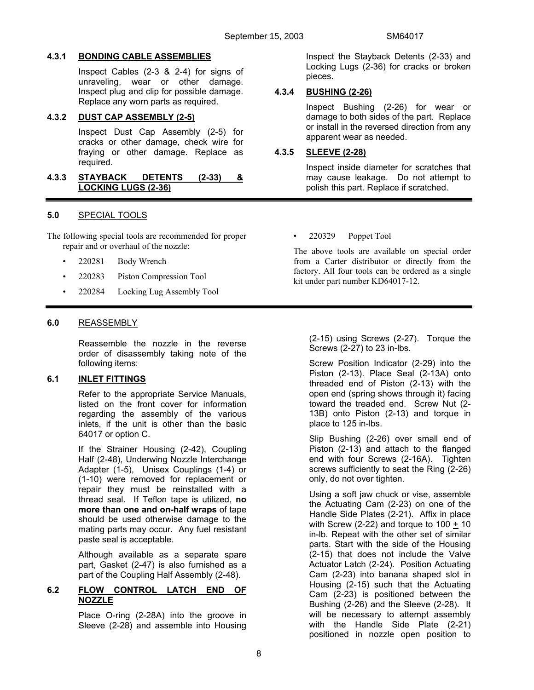#### **4.3.1 BONDING CABLE ASSEMBLIES**

 Inspect Cables (2-3 & 2-4) for signs of unraveling, wear or other damage. Inspect plug and clip for possible damage. Replace any worn parts as required.

#### **4.3.2 DUST CAP ASSEMBLY (2-5)**

 Inspect Dust Cap Assembly (2-5) for cracks or other damage, check wire for fraying or other damage. Replace as required.

#### **4.3.3 STAYBACK DETENTS (2-33) & LOCKING LUGS (2-36)**

# **5.0** SPECIAL TOOLS

The following special tools are recommended for proper repair and or overhaul of the nozzle:

- 220281 Body Wrench
- 220283 Piston Compression Tool
- 220284 Locking Lug Assembly Tool

#### **6.0** REASSEMBLY

 Reassemble the nozzle in the reverse order of disassembly taking note of the following items:

# **6.1 INLET FITTINGS**

 Refer to the appropriate Service Manuals, listed on the front cover for information regarding the assembly of the various inlets, if the unit is other than the basic 64017 or option C.

If the Strainer Housing (2-42), Coupling Half (2-48), Underwing Nozzle Interchange Adapter (1-5), Unisex Couplings (1-4) or (1-10) were removed for replacement or repair they must be reinstalled with a thread seal. If Teflon tape is utilized, **no more than one and on-half wraps** of tape should be used otherwise damage to the mating parts may occur. Any fuel resistant paste seal is acceptable.

 Although available as a separate spare part, Gasket (2-47) is also furnished as a part of the Coupling Half Assembly (2-48).

#### **6.2 FLOW CONTROL LATCH END OF NOZZLE**

 Place O-ring (2-28A) into the groove in Sleeve (2-28) and assemble into Housing  Inspect the Stayback Detents (2-33) and Locking Lugs (2-36) for cracks or broken pieces.

# **4.3.4 BUSHING (2-26)**

 Inspect Bushing (2-26) for wear or damage to both sides of the part. Replace or install in the reversed direction from any apparent wear as needed.

#### **4.3.5 SLEEVE (2-28)**

 Inspect inside diameter for scratches that may cause leakage. Do not attempt to polish this part. Replace if scratched.

• 220329 Poppet Tool

 The above tools are available on special order from a Carter distributor or directly from the factory. All four tools can be ordered as a single kit under part number KD64017-12.

(2-15) using Screws (2-27). Torque the Screws (2-27) to 23 in-lbs.

 Screw Position Indicator (2-29) into the Piston (2-13). Place Seal (2-13A) onto threaded end of Piston (2-13) with the open end (spring shows through it) facing toward the treaded end. Screw Nut (2- 13B) onto Piston (2-13) and torque in place to 125 in-lbs.

 Slip Bushing (2-26) over small end of Piston (2-13) and attach to the flanged end with four Screws (2-16A). Tighten screws sufficiently to seat the Ring (2-26) only, do not over tighten.

 Using a soft jaw chuck or vise, assemble the Actuating Cam (2-23) on one of the Handle Side Plates (2-21). Affix in place with Screw  $(2-22)$  and torque to  $100 + 10$ in-lb. Repeat with the other set of similar parts. Start with the side of the Housing (2-15) that does not include the Valve Actuator Latch (2-24). Position Actuating Cam (2-23) into banana shaped slot in Housing (2-15) such that the Actuating Cam (2-23) is positioned between the Bushing (2-26) and the Sleeve (2-28). It will be necessary to attempt assembly with the Handle Side Plate (2-21) positioned in nozzle open position to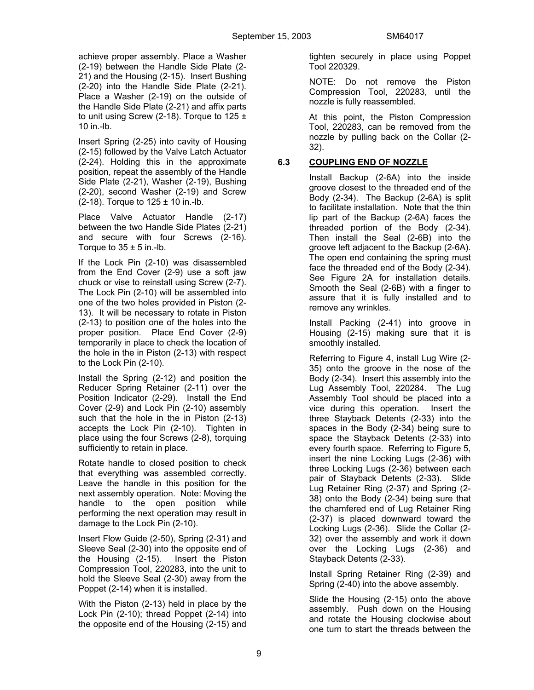achieve proper assembly. Place a Washer (2-19) between the Handle Side Plate (2- 21) and the Housing (2-15). Insert Bushing (2-20) into the Handle Side Plate (2-21). Place a Washer (2-19) on the outside of the Handle Side Plate (2-21) and affix parts to unit using Screw (2-18). Torque to  $125 \pm$ 10 in.-lb.

 Insert Spring (2-25) into cavity of Housing (2-15) followed by the Valve Latch Actuator (2-24). Holding this in the approximate position, repeat the assembly of the Handle Side Plate (2-21), Washer (2-19), Bushing (2-20), second Washer (2-19) and Screw  $(2-18)$ . Torque to  $125 \pm 10$  in.-lb.

 Place Valve Actuator Handle (2-17) between the two Handle Side Plates (2-21) and secure with four Screws (2-16). Torque to  $35 \pm 5$  in.-lb.

 If the Lock Pin (2-10) was disassembled from the End Cover (2-9) use a soft jaw chuck or vise to reinstall using Screw (2-7). The Lock Pin (2-10) will be assembled into one of the two holes provided in Piston (2- 13). It will be necessary to rotate in Piston (2-13) to position one of the holes into the proper position. Place End Cover (2-9) temporarily in place to check the location of the hole in the in Piston (2-13) with respect to the Lock Pin (2-10).

 Install the Spring (2-12) and position the Reducer Spring Retainer (2-11) over the Position Indicator (2-29). Install the End Cover (2-9) and Lock Pin (2-10) assembly such that the hole in the in Piston (2-13) accepts the Lock Pin (2-10). Tighten in place using the four Screws (2-8), torquing sufficiently to retain in place.

 Rotate handle to closed position to check that everything was assembled correctly. Leave the handle in this position for the next assembly operation. Note: Moving the handle to the open position while performing the next operation may result in damage to the Lock Pin (2-10).

 Insert Flow Guide (2-50), Spring (2-31) and Sleeve Seal (2-30) into the opposite end of the Housing (2-15). Insert the Piston Compression Tool, 220283, into the unit to hold the Sleeve Seal (2-30) away from the Poppet (2-14) when it is installed.

 With the Piston (2-13) held in place by the Lock Pin (2-10); thread Poppet (2-14) into the opposite end of the Housing (2-15) and

tighten securely in place using Poppet Tool 220329.

 NOTE: Do not remove the Piston Compression Tool, 220283, until the nozzle is fully reassembled.

 At this point, the Piston Compression Tool, 220283, can be removed from the nozzle by pulling back on the Collar (2- 32).

# **6.3 COUPLING END OF NOZZLE**

 Install Backup (2-6A) into the inside groove closest to the threaded end of the Body (2-34). The Backup (2-6A) is split to facilitate installation. Note that the thin lip part of the Backup (2-6A) faces the threaded portion of the Body (2-34). Then install the Seal (2-6B) into the groove left adjacent to the Backup (2-6A). The open end containing the spring must face the threaded end of the Body (2-34). See Figure 2A for installation details. Smooth the Seal (2-6B) with a finger to assure that it is fully installed and to remove any wrinkles.

 Install Packing (2-41) into groove in Housing (2-15) making sure that it is smoothly installed.

 Referring to Figure 4, install Lug Wire (2- 35) onto the groove in the nose of the Body (2-34). Insert this assembly into the Lug Assembly Tool, 220284. The Lug Assembly Tool should be placed into a vice during this operation. Insert the three Stayback Detents (2-33) into the spaces in the Body (2-34) being sure to space the Stayback Detents (2-33) into every fourth space. Referring to Figure 5, insert the nine Locking Lugs (2-36) with three Locking Lugs (2-36) between each pair of Stayback Detents (2-33). Slide Lug Retainer Ring (2-37) and Spring (2- 38) onto the Body (2-34) being sure that the chamfered end of Lug Retainer Ring (2-37) is placed downward toward the Locking Lugs (2-36). Slide the Collar (2- 32) over the assembly and work it down over the Locking Lugs (2-36) and Stayback Detents (2-33).

 Install Spring Retainer Ring (2-39) and Spring (2-40) into the above assembly.

 Slide the Housing (2-15) onto the above assembly. Push down on the Housing and rotate the Housing clockwise about one turn to start the threads between the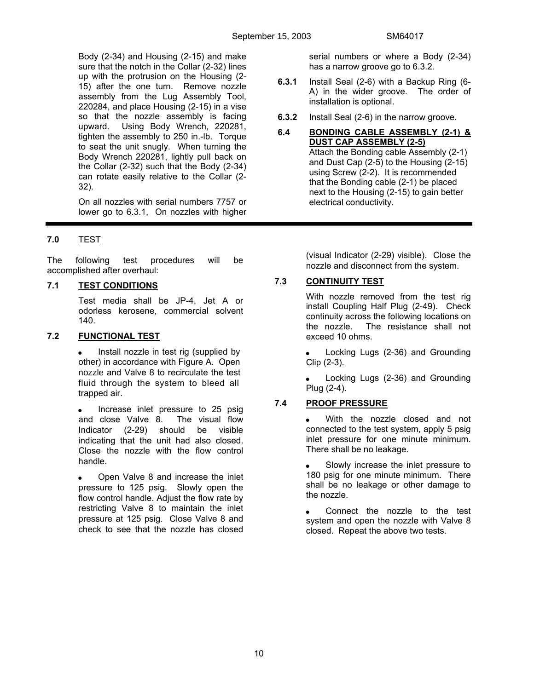Body (2-34) and Housing (2-15) and make sure that the notch in the Collar (2-32) lines up with the protrusion on the Housing (2- 15) after the one turn. Remove nozzle assembly from the Lug Assembly Tool, 220284, and place Housing (2-15) in a vise so that the nozzle assembly is facing upward. Using Body Wrench, 220281, tighten the assembly to 250 in.-lb. Torque to seat the unit snugly. When turning the Body Wrench 220281, lightly pull back on the Collar (2-32) such that the Body (2-34) can rotate easily relative to the Collar (2- 32).

 On all nozzles with serial numbers 7757 or lower go to 6.3.1, On nozzles with higher

# **7.0** TEST

The following test procedures will be accomplished after overhaul:

# **7.1 TEST CONDITIONS**

Test media shall be JP-4, Jet A or odorless kerosene, commercial solvent 140.

# **7.2 FUNCTIONAL TEST**

• Install nozzle in test rig (supplied by other) in accordance with Figure A. Open nozzle and Valve 8 to recirculate the test fluid through the system to bleed all trapped air.

• Increase inlet pressure to 25 psig and close Valve 8. The visual flow Indicator (2-29) should be visible indicating that the unit had also closed. Close the nozzle with the flow control handle.

• Open Valve 8 and increase the inlet pressure to 125 psig. Slowly open the flow control handle. Adjust the flow rate by restricting Valve 8 to maintain the inlet pressure at 125 psig. Close Valve 8 and check to see that the nozzle has closed

serial numbers or where a Body (2-34) has a narrow groove go to 6.3.2.

- **6.3.1** Install Seal (2-6) with a Backup Ring (6- A) in the wider groove. The order of installation is optional.
- **6.3.2** Install Seal (2-6) in the narrow groove.

#### **6.4 BONDING CABLE ASSEMBLY (2-1) & DUST CAP ASSEMBLY (2-5)** Attach the Bonding cable Assembly (2-1) and Dust Cap (2-5) to the Housing (2-15) using Screw (2-2). It is recommended that the Bonding cable (2-1) be placed next to the Housing (2-15) to gain better

electrical conductivity.

(visual Indicator (2-29) visible). Close the nozzle and disconnect from the system.

# **7.3 CONTINUITY TEST**

 With nozzle removed from the test rig install Coupling Half Plug (2-49). Check continuity across the following locations on the nozzle. The resistance shall not exceed 10 ohms.

 Locking Lugs (2-36) and Grounding Clip (2-3).

 Locking Lugs (2-36) and Grounding Plug (2-4).

# **7.4 PROOF PRESSURE**

 With the nozzle closed and not connected to the test system, apply 5 psig inlet pressure for one minute minimum. There shall be no leakage.

 Slowly increase the inlet pressure to 180 psig for one minute minimum. There shall be no leakage or other damage to the nozzle.

• Connect the nozzle to the test system and open the nozzle with Valve 8 closed. Repeat the above two tests.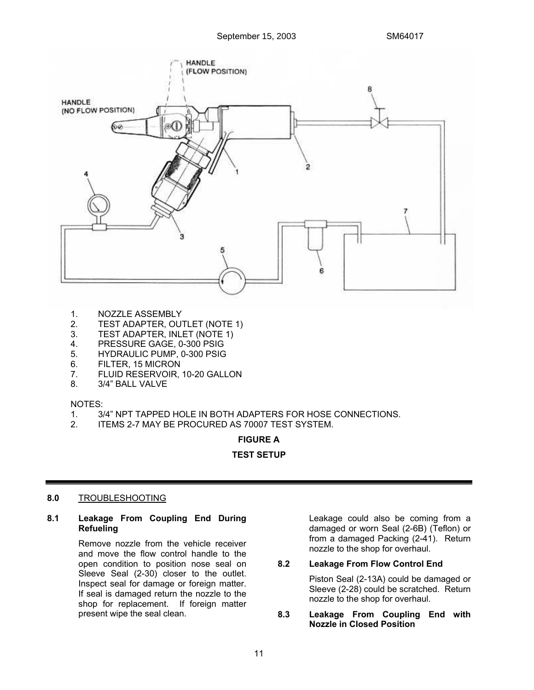

- 1. NOZZLE ASSEMBLY
- 2. TEST ADAPTER, OUTLET (NOTE 1)
- 3. TEST ADAPTER, INLET (NOTE 1)
- 4. PRESSURE GAGE, 0-300 PSIG
- 5. HYDRAULIC PUMP, 0-300 PSIG
- 6. FILTER, 15 MICRON
- 7. FLUID RESERVOIR, 10-20 GALLON
- 8. 3/4" BALL VALVE

#### NOTES:

- 1. 3/4" NPT TAPPED HOLE IN BOTH ADAPTERS FOR HOSE CONNECTIONS.
- 2. ITEMS 2-7 MAY BE PROCURED AS 70007 TEST SYSTEM.

#### **FIGURE A**

#### **TEST SETUP**

# **8.0** TROUBLESHOOTING

**8.1 Leakage From Coupling End During Refueling** 

> Remove nozzle from the vehicle receiver and move the flow control handle to the open condition to position nose seal on Sleeve Seal (2-30) closer to the outlet. Inspect seal for damage or foreign matter. If seal is damaged return the nozzle to the shop for replacement. If foreign matter present wipe the seal clean.

 Leakage could also be coming from a damaged or worn Seal (2-6B) (Teflon) or from a damaged Packing (2-41). Return nozzle to the shop for overhaul.

#### **8.2 Leakage From Flow Control End**

Piston Seal (2-13A) could be damaged or Sleeve (2-28) could be scratched. Return nozzle to the shop for overhaul.

**8.3 Leakage From Coupling End with Nozzle in Closed Position**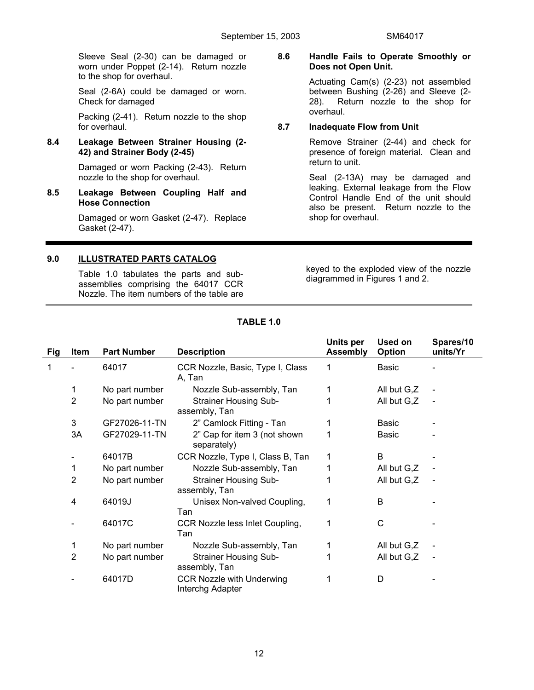Sleeve Seal (2-30) can be damaged or worn under Poppet (2-14). Return nozzle to the shop for overhaul.

 Seal (2-6A) could be damaged or worn. Check for damaged

 Packing (2-41). Return nozzle to the shop for overhaul.

# **8.4 Leakage Between Strainer Housing (2- 42) and Strainer Body (2-45)**

Damaged or worn Packing (2-43). Return nozzle to the shop for overhaul.

**8.5 Leakage Between Coupling Half and Hose Connection** 

> Damaged or worn Gasket (2-47). Replace Gasket (2-47).

# **9.0 ILLUSTRATED PARTS CATALOG**

 Table 1.0 tabulates the parts and subassemblies comprising the 64017 CCR Nozzle. The item numbers of the table are **8.6 Handle Fails to Operate Smoothly or Does not Open Unit.** 

> Actuating Cam(s) (2-23) not assembled between Bushing (2-26) and Sleeve (2- 28). Return nozzle to the shop for overhaul.

#### **8.7 Inadequate Flow from Unit**

Remove Strainer (2-44) and check for presence of foreign material. Clean and return to unit.

 Seal (2-13A) may be damaged and leaking. External leakage from the Flow Control Handle End of the unit should also be present. Return nozzle to the shop for overhaul.

keyed to the exploded view of the nozzle diagrammed in Figures 1 and 2.

| Fig | Item           | <b>Part Number</b> | <b>Description</b>                                   | Units per<br><b>Assembly</b> | <b>Used on</b><br>Option | Spares/10<br>units/Yr |
|-----|----------------|--------------------|------------------------------------------------------|------------------------------|--------------------------|-----------------------|
| 1   |                | 64017              | CCR Nozzle, Basic, Type I, Class<br>A, Tan           |                              | <b>Basic</b>             |                       |
|     | 1              | No part number     | Nozzle Sub-assembly, Tan                             |                              | All but G,Z              |                       |
|     | 2              | No part number     | <b>Strainer Housing Sub-</b><br>assembly, Tan        |                              | All but G,Z              |                       |
|     | 3              | GF27026-11-TN      | 2" Camlock Fitting - Tan                             |                              | <b>Basic</b>             |                       |
|     | 3A             | GF27029-11-TN      | 2" Cap for item 3 (not shown<br>separately)          |                              | Basic                    |                       |
|     |                | 64017B             | CCR Nozzle, Type I, Class B, Tan                     | 1                            | B                        |                       |
|     | 1              | No part number     | Nozzle Sub-assembly, Tan                             |                              | All but G,Z              |                       |
|     | $\overline{2}$ | No part number     | <b>Strainer Housing Sub-</b><br>assembly, Tan        | 1                            | All but G,Z              |                       |
|     | 4              | 64019J             | Unisex Non-valved Coupling,<br>Tan                   | 1                            | B                        |                       |
|     |                | 64017C             | CCR Nozzle less Inlet Coupling,<br>Tan               | 1                            | C                        |                       |
|     | 1              | No part number     | Nozzle Sub-assembly, Tan                             |                              | All but G,Z              |                       |
|     | 2              | No part number     | <b>Strainer Housing Sub-</b><br>assembly, Tan        |                              | All but G,Z              |                       |
|     |                | 64017D             | <b>CCR Nozzle with Underwing</b><br>Interchg Adapter |                              | D                        |                       |

# **TABLE 1.0**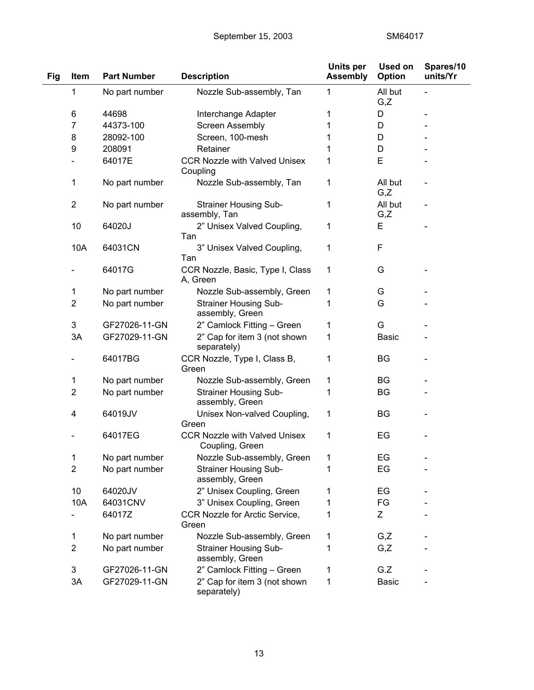| Fig | Item           | <b>Part Number</b> | <b>Description</b>                                      | Units per<br><b>Assembly</b> | <b>Used on</b><br>Option | Spares/10<br>units/Yr |
|-----|----------------|--------------------|---------------------------------------------------------|------------------------------|--------------------------|-----------------------|
|     | 1              | No part number     | Nozzle Sub-assembly, Tan                                | 1                            | All but<br>G,Z           |                       |
|     | 6              | 44698              | Interchange Adapter                                     | 1                            | D                        |                       |
|     | 7              | 44373-100          | <b>Screen Assembly</b>                                  | 1                            | D                        |                       |
|     | 8              | 28092-100          | Screen, 100-mesh                                        | 1                            | D                        |                       |
|     | 9              | 208091             | Retainer                                                | 1                            | D                        |                       |
|     |                | 64017E             | <b>CCR Nozzle with Valved Unisex</b><br>Coupling        | 1                            | E                        |                       |
|     | 1              | No part number     | Nozzle Sub-assembly, Tan                                | 1                            | All but<br>G,Z           |                       |
|     | $\overline{2}$ | No part number     | <b>Strainer Housing Sub-</b><br>assembly, Tan           | 1                            | All but<br>G,Z           |                       |
|     | 10             | 64020J             | 2" Unisex Valved Coupling,<br>Tan                       | 1                            | E                        |                       |
|     | 10A            | 64031CN            | 3" Unisex Valved Coupling,<br>Tan                       | 1                            | F                        |                       |
|     |                | 64017G             | CCR Nozzle, Basic, Type I, Class<br>A, Green            | 1                            | G                        |                       |
|     | 1              | No part number     | Nozzle Sub-assembly, Green                              | 1                            | G                        |                       |
|     | $\overline{2}$ | No part number     | <b>Strainer Housing Sub-</b><br>assembly, Green         | 1                            | G                        |                       |
|     | 3              | GF27026-11-GN      | 2" Camlock Fitting - Green                              | 1                            | G                        |                       |
|     | 3A             | GF27029-11-GN      | 2" Cap for item 3 (not shown<br>separately)             | 1                            | <b>Basic</b>             |                       |
|     |                | 64017BG            | CCR Nozzle, Type I, Class B,<br>Green                   | 1                            | <b>BG</b>                |                       |
|     | 1              | No part number     | Nozzle Sub-assembly, Green                              | 1                            | BG                       |                       |
|     | $\overline{2}$ | No part number     | <b>Strainer Housing Sub-</b><br>assembly, Green         | 1                            | BG                       |                       |
|     | 4              | 64019JV            | Unisex Non-valved Coupling,<br>Green                    | 1                            | BG                       |                       |
|     |                | 64017EG            | <b>CCR Nozzle with Valved Unisex</b><br>Coupling, Green | 1                            | EG                       |                       |
|     | 1              | No part number     | Nozzle Sub-assembly, Green                              | 1                            | EG                       |                       |
|     | $\overline{2}$ | No part number     | <b>Strainer Housing Sub-</b><br>assembly, Green         | 1                            | EG                       |                       |
|     | 10             | 64020JV            | 2" Unisex Coupling, Green                               | 1                            | EG                       |                       |
|     | 10A            | 64031CNV           | 3" Unisex Coupling, Green                               | 1                            | FG                       |                       |
|     |                | 64017Z             | CCR Nozzle for Arctic Service,<br>Green                 | 1                            | Ζ                        |                       |
|     | 1              | No part number     | Nozzle Sub-assembly, Green                              | 1                            | G,Z                      |                       |
|     | $\overline{2}$ | No part number     | <b>Strainer Housing Sub-</b><br>assembly, Green         | 1                            | G,Z                      |                       |
|     | 3              | GF27026-11-GN      | 2" Camlock Fitting - Green                              | 1                            | G.Z                      |                       |
|     | 3A             | GF27029-11-GN      | 2" Cap for item 3 (not shown<br>separately)             | 1                            | <b>Basic</b>             |                       |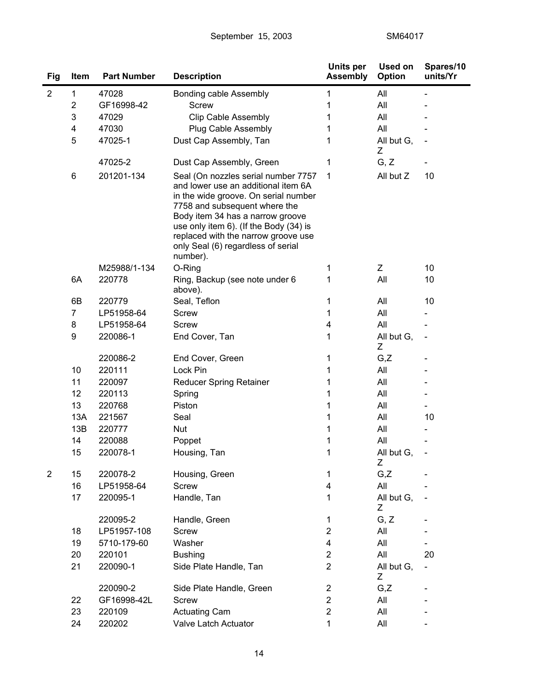| Fig            | Item                    | <b>Part Number</b> | <b>Description</b>                                                                                                                                                                                                                                                                                                         | <b>Units per</b><br><b>Assembly</b> | Used on<br>Option | Spares/10<br>units/Yr |
|----------------|-------------------------|--------------------|----------------------------------------------------------------------------------------------------------------------------------------------------------------------------------------------------------------------------------------------------------------------------------------------------------------------------|-------------------------------------|-------------------|-----------------------|
| $\overline{2}$ | 1                       | 47028              | Bonding cable Assembly                                                                                                                                                                                                                                                                                                     | 1                                   | All               |                       |
|                | $\overline{\mathbf{c}}$ | GF16998-42         | <b>Screw</b>                                                                                                                                                                                                                                                                                                               |                                     | All               |                       |
|                | 3                       | 47029              | <b>Clip Cable Assembly</b>                                                                                                                                                                                                                                                                                                 | 1                                   | All               |                       |
|                | 4                       | 47030              | Plug Cable Assembly                                                                                                                                                                                                                                                                                                        | 1                                   | All               |                       |
|                | 5                       | 47025-1            | Dust Cap Assembly, Tan                                                                                                                                                                                                                                                                                                     | 1                                   | All but G,<br>Ζ   |                       |
|                |                         | 47025-2            | Dust Cap Assembly, Green                                                                                                                                                                                                                                                                                                   | 1                                   | G, Z              |                       |
|                | 6                       | 201201-134         | Seal (On nozzles serial number 7757<br>and lower use an additional item 6A<br>in the wide groove. On serial number<br>7758 and subsequent where the<br>Body item 34 has a narrow groove<br>use only item 6). (If the Body (34) is<br>replaced with the narrow groove use<br>only Seal (6) regardless of serial<br>number). | 1                                   | All but Z         | 10                    |
|                |                         | M25988/1-134       | O-Ring                                                                                                                                                                                                                                                                                                                     | 1                                   | Z                 | 10                    |
|                | 6A                      | 220778             | Ring, Backup (see note under 6<br>above).                                                                                                                                                                                                                                                                                  | 1                                   | All               | 10                    |
|                | 6B                      | 220779             | Seal, Teflon                                                                                                                                                                                                                                                                                                               | 1                                   | All               | 10                    |
|                | $\overline{7}$          | LP51958-64         | <b>Screw</b>                                                                                                                                                                                                                                                                                                               | 1                                   | All               |                       |
|                | 8                       | LP51958-64         | Screw                                                                                                                                                                                                                                                                                                                      | 4                                   | All               |                       |
|                | 9                       | 220086-1           | End Cover, Tan                                                                                                                                                                                                                                                                                                             | 1                                   | All but G,<br>Ζ   |                       |
|                |                         | 220086-2           | End Cover, Green                                                                                                                                                                                                                                                                                                           | 1                                   | G,Z               |                       |
|                | 10                      | 220111             | Lock Pin                                                                                                                                                                                                                                                                                                                   | 1                                   | All               |                       |
|                | 11                      | 220097             | <b>Reducer Spring Retainer</b>                                                                                                                                                                                                                                                                                             | 1                                   | All               |                       |
|                | 12                      | 220113             | Spring                                                                                                                                                                                                                                                                                                                     | 1                                   | All               |                       |
|                | 13                      | 220768             | Piston                                                                                                                                                                                                                                                                                                                     | 1                                   | All               |                       |
|                | 13A                     | 221567             | Seal                                                                                                                                                                                                                                                                                                                       | 1                                   | All               | 10                    |
|                | 13B                     | 220777             | Nut                                                                                                                                                                                                                                                                                                                        | 1                                   | All               |                       |
|                | 14                      | 220088             | Poppet                                                                                                                                                                                                                                                                                                                     | 1                                   | All               |                       |
|                | 15                      | 220078-1           | Housing, Tan                                                                                                                                                                                                                                                                                                               | 1                                   | All but G,<br>Ζ   |                       |
| $\overline{2}$ | 15                      | 220078-2           | Housing, Green                                                                                                                                                                                                                                                                                                             | 1                                   | G,Z               |                       |
|                | 16                      | LP51958-64         | <b>Screw</b>                                                                                                                                                                                                                                                                                                               | 4                                   | All               |                       |
|                | 17                      | 220095-1           | Handle, Tan                                                                                                                                                                                                                                                                                                                | 1                                   | All but G,<br>Ζ   |                       |
|                |                         | 220095-2           | Handle, Green                                                                                                                                                                                                                                                                                                              | 1                                   | G, Z              |                       |
|                | 18                      | LP51957-108        | <b>Screw</b>                                                                                                                                                                                                                                                                                                               | $\overline{2}$                      | All               |                       |
|                | 19                      | 5710-179-60        | Washer                                                                                                                                                                                                                                                                                                                     | 4                                   | All               |                       |
|                | 20                      | 220101             | <b>Bushing</b>                                                                                                                                                                                                                                                                                                             | $\mathbf{2}$                        | All               | 20                    |
|                | 21                      | 220090-1           | Side Plate Handle, Tan                                                                                                                                                                                                                                                                                                     | $\boldsymbol{2}$                    | All but G,<br>Ζ   |                       |
|                |                         | 220090-2           | Side Plate Handle, Green                                                                                                                                                                                                                                                                                                   | $\overline{\mathbf{c}}$             | G,Z               |                       |
|                | 22                      | GF16998-42L        | <b>Screw</b>                                                                                                                                                                                                                                                                                                               | $\overline{\mathbf{c}}$             | All               |                       |
|                | 23                      | 220109             | <b>Actuating Cam</b>                                                                                                                                                                                                                                                                                                       | $\overline{c}$                      | All               |                       |
|                | 24                      | 220202             | Valve Latch Actuator                                                                                                                                                                                                                                                                                                       | 1                                   | All               |                       |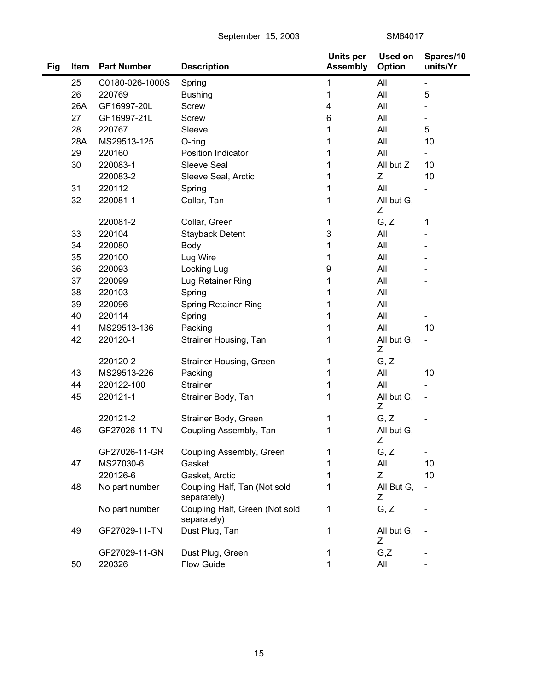September 15, 2003 SM64017

| Fig | <b>Item</b> | <b>Part Number</b> | <b>Description</b>                            | Units per<br><b>Assembly</b> | <b>Used on</b><br><b>Option</b> | Spares/10<br>units/Yr        |
|-----|-------------|--------------------|-----------------------------------------------|------------------------------|---------------------------------|------------------------------|
|     | 25          | C0180-026-1000S    | Spring                                        | 1                            | All                             | $\overline{\phantom{a}}$     |
|     | 26          | 220769             | <b>Bushing</b>                                | 1                            | All                             | 5                            |
|     | 26A         | GF16997-20L        | <b>Screw</b>                                  | 4                            | All                             |                              |
|     | 27          | GF16997-21L        | <b>Screw</b>                                  | 6                            | All                             |                              |
|     | 28          | 220767             | Sleeve                                        | 1                            | All                             | 5                            |
|     | 28A         | MS29513-125        | $O$ -ring                                     | 1                            | All                             | 10                           |
|     | 29          | 220160             | Position Indicator                            | 1                            | All                             |                              |
|     | 30          | 220083-1           | Sleeve Seal                                   | 1                            | All but Z                       | 10                           |
|     |             | 220083-2           | Sleeve Seal, Arctic                           | 1                            | Ζ                               | 10                           |
|     | 31          | 220112             | Spring                                        | 1                            | All                             |                              |
|     | 32          | 220081-1           | Collar, Tan                                   | 1                            | All but G,<br>Ζ                 | $\overline{\phantom{0}}$     |
|     |             | 220081-2           | Collar, Green                                 | 1                            | G, Z                            | 1                            |
|     | 33          | 220104             | <b>Stayback Detent</b>                        | 3                            | All                             |                              |
|     | 34          | 220080             | Body                                          | 1                            | All                             |                              |
|     | 35          | 220100             | Lug Wire                                      | 1                            | All                             |                              |
|     | 36          | 220093             | Locking Lug                                   | 9                            | All                             |                              |
|     | 37          | 220099             | Lug Retainer Ring                             | 1                            | All                             |                              |
|     | 38          | 220103             | Spring                                        | 1                            | All                             |                              |
|     | 39          | 220096             | Spring Retainer Ring                          | 1                            | All                             |                              |
|     | 40          | 220114             | Spring                                        | 1                            | All                             |                              |
|     | 41          | MS29513-136        | Packing                                       | 1                            | All                             | 10                           |
|     | 42          | 220120-1           | Strainer Housing, Tan                         | 1                            | All but G,<br>Z                 | $\qquad \qquad \blacksquare$ |
|     |             | 220120-2           | Strainer Housing, Green                       | 1                            | G, Z                            | $\overline{\phantom{0}}$     |
|     | 43          | MS29513-226        | Packing                                       | 1                            | All                             | 10                           |
|     | 44          | 220122-100         | <b>Strainer</b>                               | 1                            | All                             |                              |
|     | 45          | 220121-1           | Strainer Body, Tan                            | 1                            | All but G,<br>Z                 | $\qquad \qquad \blacksquare$ |
|     |             | 220121-2           | Strainer Body, Green                          | 1                            | G, Z                            |                              |
|     | 46          | GF27026-11-TN      | Coupling Assembly, Tan                        | 1                            | All but G,<br>Ζ                 |                              |
|     |             | GF27026-11-GR      | Coupling Assembly, Green                      | 1                            | G, Z                            | $\overline{\phantom{0}}$     |
|     | 47          | MS27030-6          | Gasket                                        | 1                            | All                             | 10                           |
|     |             | 220126-6           | Gasket, Arctic                                | 1                            | Z                               | 10                           |
|     | 48          | No part number     | Coupling Half, Tan (Not sold<br>separately)   | 1                            | All But G,<br>Ζ                 | $\blacksquare$               |
|     |             | No part number     | Coupling Half, Green (Not sold<br>separately) | 1                            | G, Z                            |                              |
|     | 49          | GF27029-11-TN      | Dust Plug, Tan                                | 1                            | All but G,<br>Z                 |                              |
|     |             | GF27029-11-GN      | Dust Plug, Green                              | 1                            | G,Z                             |                              |
|     | 50          | 220326             | Flow Guide                                    | 1                            | All                             |                              |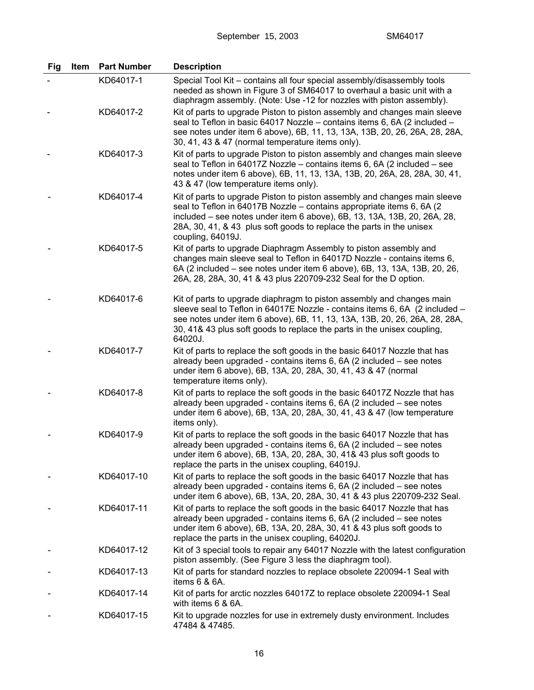| Fig | Item | <b>Part Number</b> | <b>Description</b>                                                                                                                                                                                                                                                                                                           |
|-----|------|--------------------|------------------------------------------------------------------------------------------------------------------------------------------------------------------------------------------------------------------------------------------------------------------------------------------------------------------------------|
|     |      | KD64017-1          | Special Tool Kit - contains all four special assembly/disassembly tools<br>needed as shown in Figure 3 of SM64017 to overhaul a basic unit with a<br>diaphragm assembly. (Note: Use -12 for nozzles with piston assembly).                                                                                                   |
|     |      | KD64017-2          | Kit of parts to upgrade Piston to piston assembly and changes main sleeve<br>seal to Teflon in basic 64017 Nozzle - contains items 6, 6A (2 included -<br>see notes under item 6 above), 6B, 11, 13, 13A, 13B, 20, 26, 26A, 28, 28A,<br>30, 41, 43 & 47 (normal temperature items only).                                     |
|     |      | KD64017-3          | Kit of parts to upgrade Piston to piston assembly and changes main sleeve<br>seal to Teflon in 64017Z Nozzle - contains items 6, 6A (2 included - see<br>notes under item 6 above), 6B, 11, 13, 13A, 13B, 20, 26A, 28, 28A, 30, 41,<br>43 & 47 (low temperature items only).                                                 |
|     |      | KD64017-4          | Kit of parts to upgrade Piston to piston assembly and changes main sleeve<br>seal to Teflon in 64017B Nozzle - contains appropriate items 6, 6A (2)<br>included – see notes under item 6 above), 6B, 13, 13A, 13B, 20, 26A, 28,<br>28A, 30, 41, & 43 plus soft goods to replace the parts in the unisex<br>coupling, 64019J. |
|     |      | KD64017-5          | Kit of parts to upgrade Diaphragm Assembly to piston assembly and<br>changes main sleeve seal to Teflon in 64017D Nozzle - contains items 6,<br>6A (2 included – see notes under item 6 above), 6B, 13, 13A, 13B, 20, 26,<br>26A, 28, 28A, 30, 41 & 43 plus 220709-232 Seal for the D option.                                |
|     |      | KD64017-6          | Kit of parts to upgrade diaphragm to piston assembly and changes main<br>sleeve seal to Teflon in 64017E Nozzle - contains items 6, 6A (2 included -<br>see notes under item 6 above), 6B, 11, 13, 13A, 13B, 20, 26, 26A, 28, 28A,<br>30, 41& 43 plus soft goods to replace the parts in the unisex coupling,<br>64020J.     |
|     |      | KD64017-7          | Kit of parts to replace the soft goods in the basic 64017 Nozzle that has<br>already been upgraded - contains items 6, 6A (2 included - see notes<br>under item 6 above), 6B, 13A, 20, 28A, 30, 41, 43 & 47 (normal<br>temperature items only).                                                                              |
|     |      | KD64017-8          | Kit of parts to replace the soft goods in the basic 64017Z Nozzle that has<br>already been upgraded - contains items 6, 6A (2 included – see notes<br>under item 6 above), 6B, 13A, 20, 28A, 30, 41, 43 & 47 (low temperature<br>items only).                                                                                |
|     |      | KD64017-9          | Kit of parts to replace the soft goods in the basic 64017 Nozzle that has<br>already been upgraded - contains items 6, 6A (2 included – see notes<br>under item 6 above), 6B, 13A, 20, 28A, 30, 41& 43 plus soft goods to<br>replace the parts in the unisex coupling, 64019J.                                               |
|     |      | KD64017-10         | Kit of parts to replace the soft goods in the basic 64017 Nozzle that has<br>already been upgraded - contains items 6, 6A (2 included – see notes<br>under item 6 above), 6B, 13A, 20, 28A, 30, 41 & 43 plus 220709-232 Seal.                                                                                                |
|     |      | KD64017-11         | Kit of parts to replace the soft goods in the basic 64017 Nozzle that has<br>already been upgraded - contains items 6, 6A (2 included - see notes<br>under item 6 above), 6B, 13A, 20, 28A, 30, 41 & 43 plus soft goods to<br>replace the parts in the unisex coupling, 64020J.                                              |
|     |      | KD64017-12         | Kit of 3 special tools to repair any 64017 Nozzle with the latest configuration<br>piston assembly. (See Figure 3 less the diaphragm tool).                                                                                                                                                                                  |
|     |      | KD64017-13         | Kit of parts for standard nozzles to replace obsolete 220094-1 Seal with<br>items $6 & 6A$ .                                                                                                                                                                                                                                 |
|     |      | KD64017-14         | Kit of parts for arctic nozzles 64017Z to replace obsolete 220094-1 Seal<br>with items 6 & 6A.                                                                                                                                                                                                                               |
|     |      | KD64017-15         | Kit to upgrade nozzles for use in extremely dusty environment. Includes<br>47484 & 47485.                                                                                                                                                                                                                                    |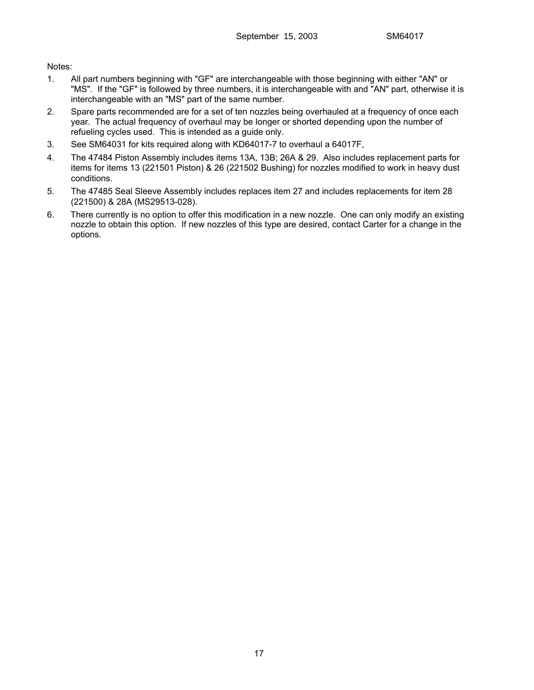Notes:

- 1. All part numbers beginning with "GF" are interchangeable with those beginning with either "AN" or "MS". If the "GF" is followed by three numbers, it is interchangeable with and "AN" part, otherwise it is interchangeable with an "MS" part of the same number.
- 2. Spare parts recommended are for a set of ten nozzles being overhauled at a frequency of once each year. The actual frequency of overhaul may be longer or shorted depending upon the number of refueling cycles used. This is intended as a guide only.
- 3. See SM64031 for kits required along with KD64017-7 to overhaul a 64017F,
- 4. The 47484 Piston Assembly includes items 13A, 13B; 26A & 29. Also includes replacement parts for items for items 13 (221501 Piston) & 26 (221502 Bushing) for nozzles modified to work in heavy dust conditions.
- 5. The 47485 Seal Sleeve Assembly includes replaces item 27 and includes replacements for item 28 (221500) & 28A (MS29513-028).
- 6. There currently is no option to offer this modification in a new nozzle. One can only modify an existing nozzle to obtain this option. If new nozzles of this type are desired, contact Carter for a change in the options.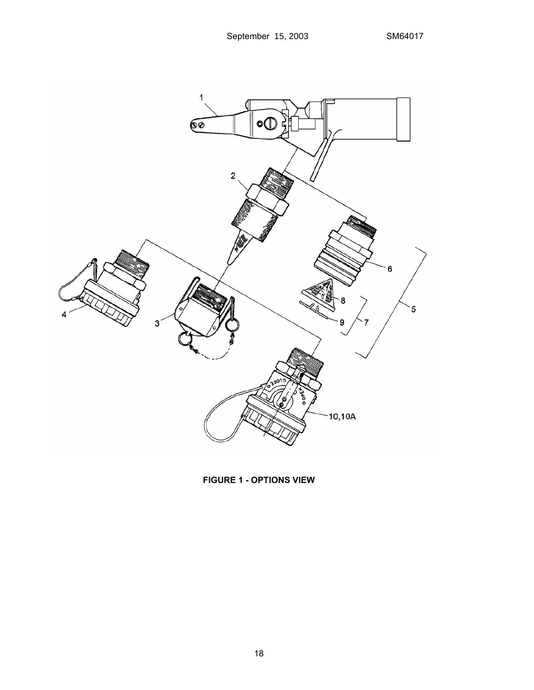

**FIGURE 1 - OPTIONS VIEW**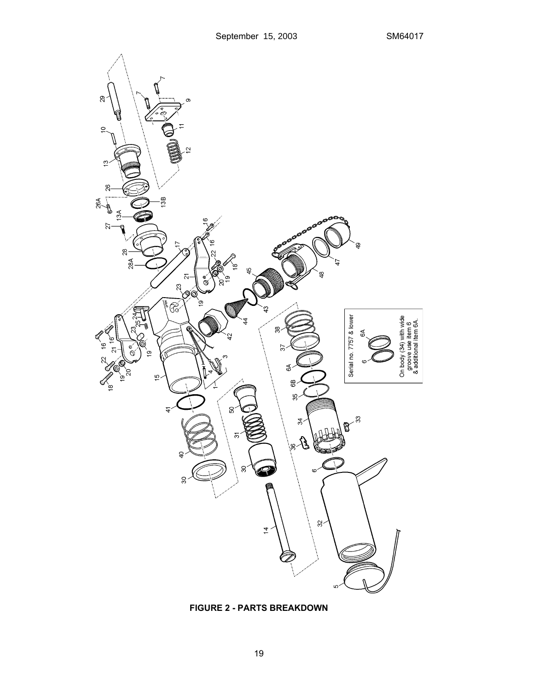

**FIGURE 2 - PARTS BREAKDOWN**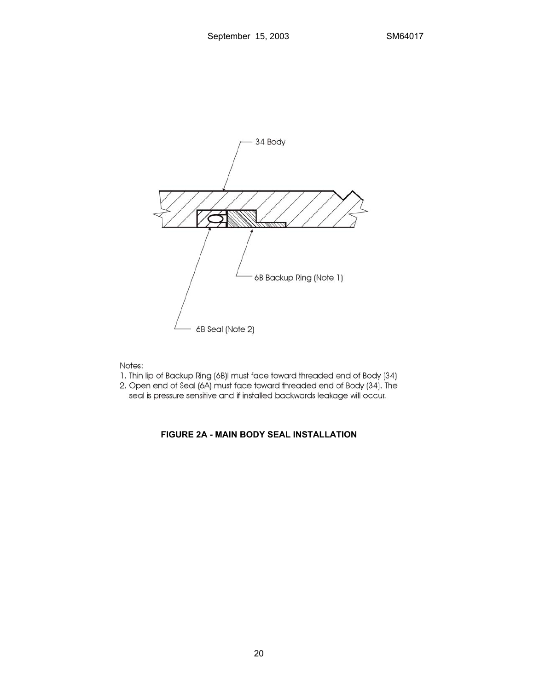

Notes:

- 1. Thin lip of Backup Ring (6B)I must face toward threaded end of Body (34).
- 2. Open end of Seal (6A) must face toward threaded end of Body (34). The
	- seal is pressure sensitive and if installed backwards leakage will occur.

# **FIGURE 2A - MAIN BODY SEAL INSTALLATION**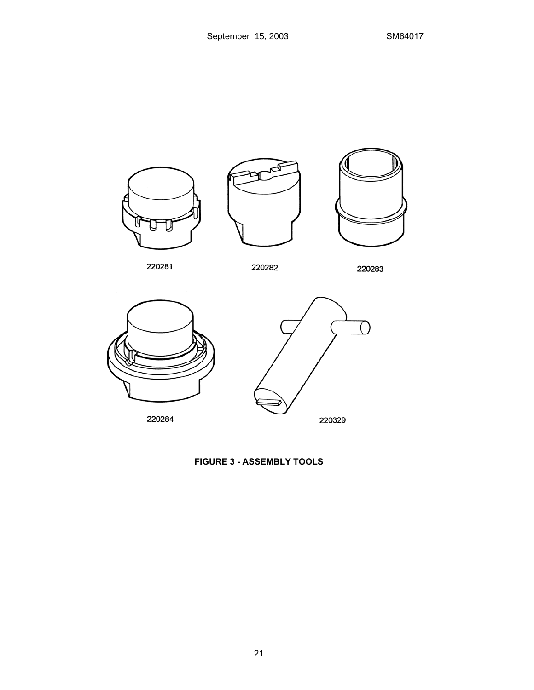



220282

220283



**FIGURE 3 - ASSEMBLY TOOLS**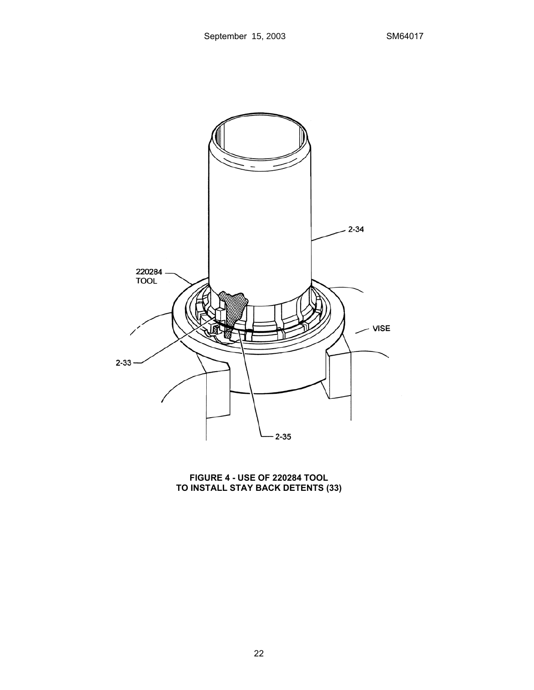

**FIGURE 4 - USE OF 220284 TOOL TO INSTALL STAY BACK DETENTS (33)**